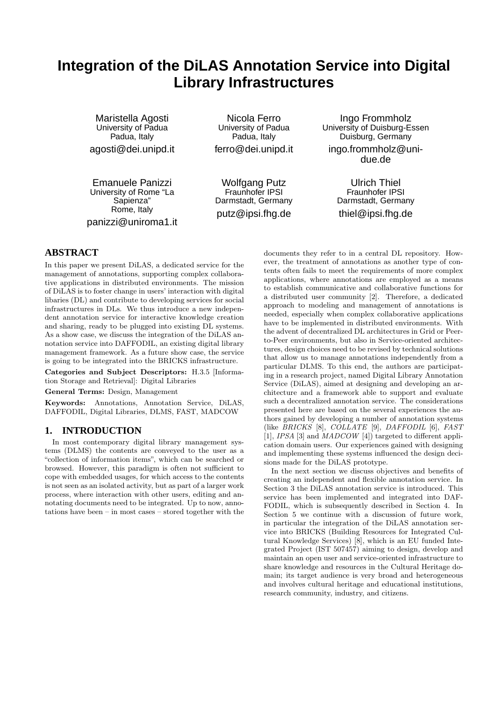# **Integration of the DiLAS Annotation Service into Digital Library Infrastructures**

Maristella Agosti University of Padua Padua, Italy agosti@dei.unipd.it

Emanuele Panizzi University of Rome "La Sapienza" Rome, Italy panizzi@uniroma1.it

Nicola Ferro University of Padua Padua, Italy ferro@dei.unipd.it

Wolfgang Putz Fraunhofer IPSI Darmstadt, Germany putz@ipsi.fhg.de

Ingo Frommholz University of Duisburg-Essen Duisburg, Germany ingo.frommholz@unidue.de

> Ulrich Thiel Fraunhofer IPSI Darmstadt, Germany thiel@ipsi.fhg.de

# **ABSTRACT**

In this paper we present DiLAS, a dedicated service for the management of annotations, supporting complex collaborative applications in distributed environments. The mission of DiLAS is to foster change in users' interaction with digital libaries (DL) and contribute to developing services for social infrastructures in DLs. We thus introduce a new independent annotation service for interactive knowledge creation and sharing, ready to be plugged into existing DL systems. As a show case, we discuss the integration of the DiLAS annotation service into DAFFODIL, an existing digital library management framework. As a future show case, the service is going to be integrated into the BRICKS infrastructure.

Categories and Subject Descriptors: H.3.5 [Information Storage and Retrieval]: Digital Libraries

General Terms: Design, Management

Keywords: Annotations, Annotation Service, DiLAS, DAFFODIL, Digital Libraries, DLMS, FAST, MADCOW

## **1. INTRODUCTION**

In most contemporary digital library management systems (DLMS) the contents are conveyed to the user as a "collection of information items", which can be searched or browsed. However, this paradigm is often not sufficient to cope with embedded usages, for which access to the contents is not seen as an isolated activity, but as part of a larger work process, where interaction with other users, editing and annotating documents need to be integrated. Up to now, annotations have been – in most cases – stored together with the documents they refer to in a central DL repository. However, the treatment of annotations as another type of contents often fails to meet the requirements of more complex applications, where annotations are employed as a means to establish communicative and collaborative functions for a distributed user community [2]. Therefore, a dedicated approach to modeling and management of annotations is needed, especially when complex collaborative applications have to be implemented in distributed environments. With the advent of decentralized DL architectures in Grid or Peerto-Peer environments, but also in Service-oriented architectures, design choices need to be revised by technical solutions that allow us to manage annotations independently from a particular DLMS. To this end, the authors are participating in a research project, named Digital Library Annotation Service (DiLAS), aimed at designing and developing an architecture and a framework able to support and evaluate such a decentralized annotation service. The considerations presented here are based on the several experiences the authors gained by developing a number of annotation systems (like BRICKS [8], COLLATE [9], DAFFODIL [6], FAST [1], IPSA [3] and MADCOW [4]) targeted to different application domain users. Our experiences gained with designing and implementing these systems influenced the design decisions made for the DiLAS prototype.

In the next section we discuss objectives and benefits of creating an independent and flexible annotation service. In Section 3 the DiLAS annotation service is introduced. This service has been implemented and integrated into DAF-FODIL, which is subsequently described in Section 4. In Section 5 we continue with a discussion of future work, in particular the integration of the DiLAS annotation service into BRICKS (Building Resources for Integrated Cultural Knowledge Services) [8], which is an EU funded Integrated Project (IST 507457) aiming to design, develop and maintain an open user and service-oriented infrastructure to share knowledge and resources in the Cultural Heritage domain; its target audience is very broad and heterogeneous and involves cultural heritage and educational institutions, research community, industry, and citizens.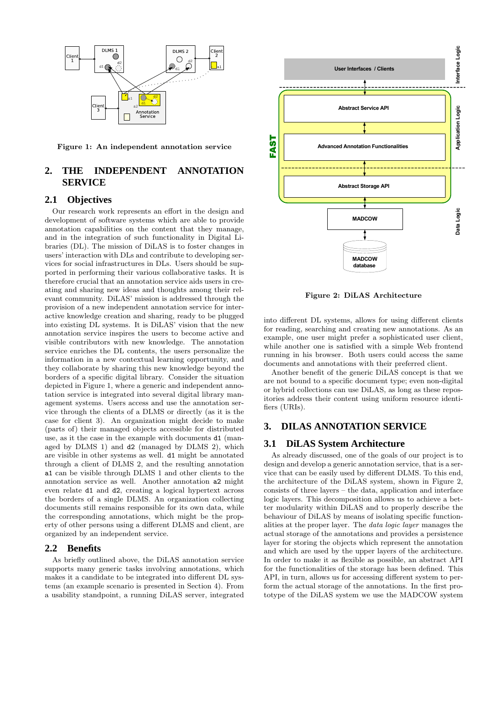

Figure 1: An independent annotation service

# **2. THE INDEPENDENT ANNOTATION SERVICE**

#### **2.1 Objectives**

Our research work represents an effort in the design and development of software systems which are able to provide annotation capabilities on the content that they manage, and in the integration of such functionality in Digital Libraries (DL). The mission of DiLAS is to foster changes in users' interaction with DLs and contribute to developing services for social infrastructures in DLs. Users should be supported in performing their various collaborative tasks. It is therefore crucial that an annotation service aids users in creating and sharing new ideas and thoughts among their relevant community. DiLAS' mission is addressed through the provision of a new independent annotation service for interactive knowledge creation and sharing, ready to be plugged into existing DL systems. It is DiLAS' vision that the new annotation service inspires the users to become active and visible contributors with new knowledge. The annotation service enriches the DL contents, the users personalize the information in a new contextual learning opportunity, and they collaborate by sharing this new knowledge beyond the borders of a specific digital library. Consider the situation depicted in Figure 1, where a generic and independent annotation service is integrated into several digital library management systems. Users access and use the annotation service through the clients of a DLMS or directly (as it is the case for client 3). An organization might decide to make (parts of) their managed objects accessible for distributed use, as it the case in the example with documents d1 (managed by DLMS 1) and d2 (managed by DLMS 2), which are visible in other systems as well. d1 might be annotated through a client of DLMS 2, and the resulting annotation a1 can be visible through DLMS 1 and other clients to the annotation service as well. Another annotation a2 might even relate d1 and d2, creating a logical hypertext across the borders of a single DLMS. An organization collecting documents still remains responsible for its own data, while the corresponding annotations, which might be the property of other persons using a different DLMS and client, are organized by an independent service.

#### **2.2 Benefits**

As briefly outlined above, the DiLAS annotation service supports many generic tasks involving annotations, which makes it a candidate to be integrated into different DL systems (an example scenario is presented in Section 4). From a usability standpoint, a running DiLAS server, integrated



Figure 2: DiLAS Architecture

into different DL systems, allows for using different clients for reading, searching and creating new annotations. As an example, one user might prefer a sophisticated user client, while another one is satisfied with a simple Web frontend running in his browser. Both users could access the same documents and annotations with their preferred client.

Another benefit of the generic DiLAS concept is that we are not bound to a specific document type; even non-digital or hybrid collections can use DiLAS, as long as these repositories address their content using uniform resource identifiers (URIs).

## **3. DILAS ANNOTATION SERVICE**

#### **3.1 DiLAS System Architecture**

As already discussed, one of the goals of our project is to design and develop a generic annotation service, that is a service that can be easily used by different DLMS. To this end, the architecture of the DiLAS system, shown in Figure 2, consists of three layers – the data, application and interface logic layers. This decomposition allows us to achieve a better modularity within DiLAS and to properly describe the behaviour of DiLAS by means of isolating specific functionalities at the proper layer. The data logic layer manages the actual storage of the annotations and provides a persistence layer for storing the objects which represent the annotation and which are used by the upper layers of the architecture. In order to make it as flexible as possible, an abstract API for the functionalities of the storage has been defined. This API, in turn, allows us for accessing different system to perform the actual storage of the annotations. In the first prototype of the DiLAS system we use the MADCOW system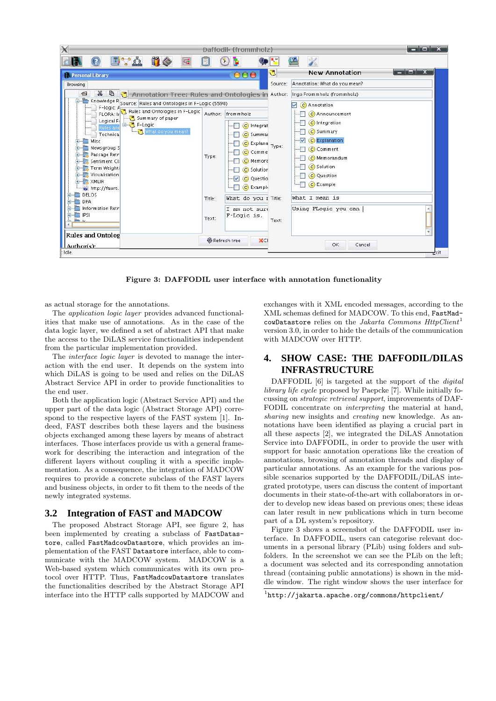

Figure 3: DAFFODIL user interface with annotation functionality

as actual storage for the annotations.

The application logic layer provides advanced functionalities that make use of annotations. As in the case of the data logic layer, we defined a set of abstract API that make the access to the DiLAS service functionalities independent from the particular implementation provided.

The interface logic layer is devoted to manage the interaction with the end user. It depends on the system into which DiLAS is going to be used and relies on the DiLAS Abstract Service API in order to provide functionalities to the end user.

Both the application logic (Abstract Service API) and the upper part of the data logic (Abstract Storage API) correspond to the respective layers of the FAST system [1]. Indeed, FAST describes both these layers and the business objects exchanged among these layers by means of abstract interfaces. Those interfaces provide us with a general framework for describing the interaction and integration of the different layers without coupling it with a specific implementation. As a consequence, the integration of MADCOW requires to provide a concrete subclass of the FAST layers and business objects, in order to fit them to the needs of the newly integrated systems.

#### **3.2 Integration of FAST and MADCOW**

The proposed Abstract Storage API, see figure 2, has been implemented by creating a subclass of FastDatastore, called FastMadcowDatastore, which provides an implementation of the FAST Datastore interface, able to communicate with the MADCOW system. MADCOW is a Web-based system which communicates with its own protocol over HTTP. Thus, FastMadcowDatastore translates the functionalities described by the Abstract Storage API interface into the HTTP calls supported by MADCOW and

exchanges with it XML encoded messages, according to the XML schemas defined for MADCOW. To this end, FastMadcowDatastore relies on the Jakarta Commons  $HttpClient^1$ version 3.0, in order to hide the details of the communication with MADCOW over HTTP.

# **4. SHOW CASE: THE DAFFODIL/DILAS INFRASTRUCTURE**

DAFFODIL [6] is targeted at the support of the *digital* library life cycle proposed by Paepcke [7]. While initially focussing on strategic retrieval support, improvements of DAF-FODIL concentrate on interpreting the material at hand, sharing new insights and *creating* new knowledge. As annotations have been identified as playing a crucial part in all these aspects [2], we integrated the DiLAS Annotation Service into DAFFODIL, in order to provide the user with support for basic annotation operations like the creation of annotations, browsing of annotation threads and display of particular annotations. As an example for the various possible scenarios supported by the DAFFODIL/DiLAS integrated prototype, users can discuss the content of important documents in their state-of-the-art with collaborators in order to develop new ideas based on previous ones; these ideas can later result in new publications which in turn become part of a DL system's repository.

Figure 3 shows a screenshot of the DAFFODIL user interface. In DAFFODIL, users can categorise relevant documents in a personal library (PLib) using folders and subfolders. In the screenshot we can see the PLib on the left; a document was selected and its corresponding annotation thread (containing public annotations) is shown in the middle window. The right window shows the user interface for

<sup>1</sup> http://jakarta.apache.org/commons/httpclient/